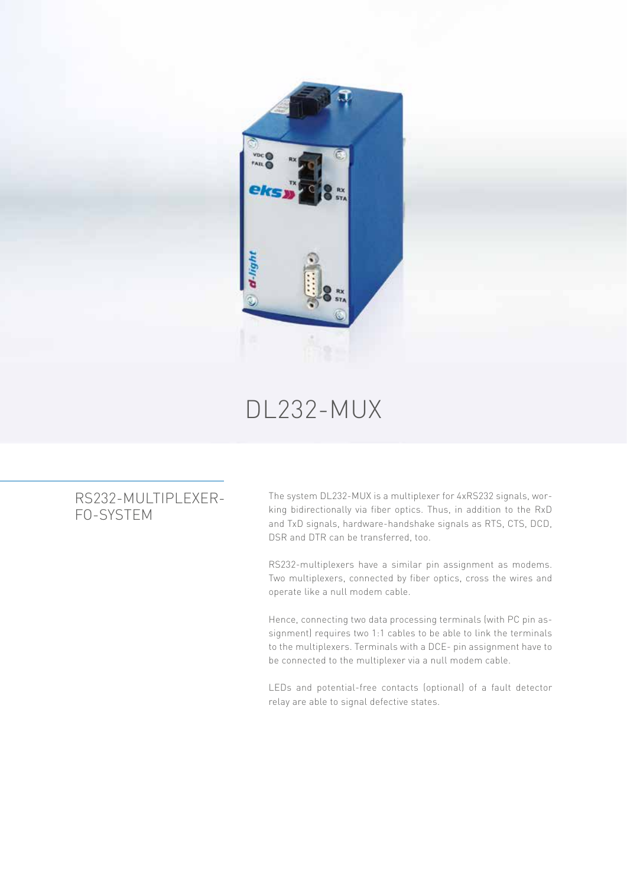

## DL232-MUX

## RS232-MULTIPLEXER-FO-SYSTEM

The system DL232-MUX is a multiplexer for 4xRS232 signals, working bidirectionally via fiber optics. Thus, in addition to the RxD and TxD signals, hardware-handshake signals as RTS, CTS, DCD, DSR and DTR can be transferred, too.

RS232-multiplexers have a similar pin assignment as modems. Two multiplexers, connected by fiber optics, cross the wires and operate like a null modem cable.

Hence, connecting two data processing terminals (with PC pin assignment) requires two 1:1 cables to be able to link the terminals to the multiplexers. Terminals with a DCE- pin assignment have to be connected to the multiplexer via a null modem cable.

LEDs and potential-free contacts (optional) of a fault detector relay are able to signal defective states.